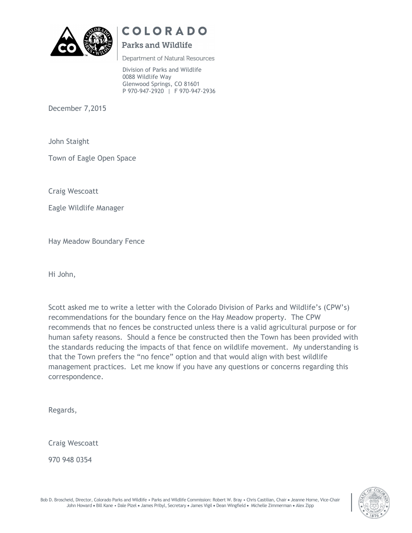

# COLORADO

## **Parks and Wildlife**

Department of Natural Resources

Division of Parks and Wildlife 0088 Wildlife Way Glenwood Springs, CO 81601 P 970-947-2920 | F 970-947-2936

December 7,2015

John Staight

Town of Eagle Open Space

Craig Wescoatt

Eagle Wildlife Manager

Hay Meadow Boundary Fence

Hi John,

Scott asked me to write a letter with the Colorado Division of Parks and Wildlife's (CPW's) recommendations for the boundary fence on the Hay Meadow property. The CPW recommends that no fences be constructed unless there is a valid agricultural purpose or for human safety reasons. Should a fence be constructed then the Town has been provided with the standards reducing the impacts of that fence on wildlife movement. My understanding is that the Town prefers the "no fence" option and that would align with best wildlife management practices. Let me know if you have any questions or concerns regarding this correspondence.

Regards,

Craig Wescoatt

970 948 0354



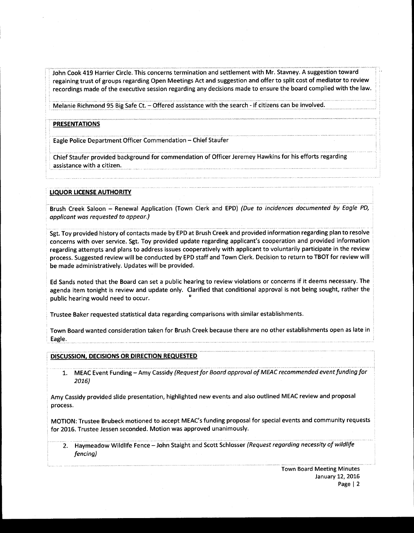John Cook 419 Harrier Circle. This concerns termination and settlement with Mr. Stavney. A suggestion toward regaining trust of groups regarding Open Meetings Act and suggestion and offer to split cost of mediator to review recordings made of the executive session regarding any decisions made to ensure the board complied with the law.

Melanie Richmond 95 Big Safe Ct. — Offered assistance with the search - if citizens can be involved.

#### **PRESENTATIONS**

Eagle Police Department Officer Commendation — Chief Staufer

Chief Staufer provided background for commendation of Officer Jeremey Hawkins for his efforts regarding assistance with a citizen.

#### LIQUOR LICENSE AUTHORITY

Brush Creek Saloon – Renewal Application (Town Clerk and EPD) (Due to incidences documented by Eagle PD, applicant was requested to appear.)

Sgt. Toy provided history of contacts made by EPD at Brush Creek and provided information regarding plan to resolve concerns with over service. Sgt. Toy provided update regarding applicant's cooperation and provided information regarding attempts and plans to address issues cooperatively with applicant to voluntarily participate in the review process. Suggested review will be conducted by EPD staff and Town Clerk. Decision to return to TBOT for review will be made administratively. Updates will be provided.

Ed Sands noted that the Board can set <sup>a</sup> public hearing to review violations or concerns if it deems necessary. The agenda item tonight is review and update only. Clarified that conditional approval is not being sought, rather the public hearing would need to occur.

Trustee Baker requested statistical data regarding comparisons with similar establishments.

Town Board wanted consideration taken for Brush Creek because there are no other establishments open as late in Eagle.

#### DISCUSSION, DECISIONS OR DIRECTION REQUESTED

1. MEAC Event Funding – Amy Cassidy (Request for Board approval of MEAC recommended event funding for 2016)

Amy Cassidy provided slide presentation, highlighted new events and also outlined MEAC review and proposal process.

MOTION: Trustee Brubeck motioned to accept MEAC's funding proposal for special events and community requests for 2016. Trustee Jessen seconded. Motion was approved unanimously.

2. Haymeadow Wildlife Fence - John Staight and Scott Schlosser (Request regarding necessity of wildlife fencing)